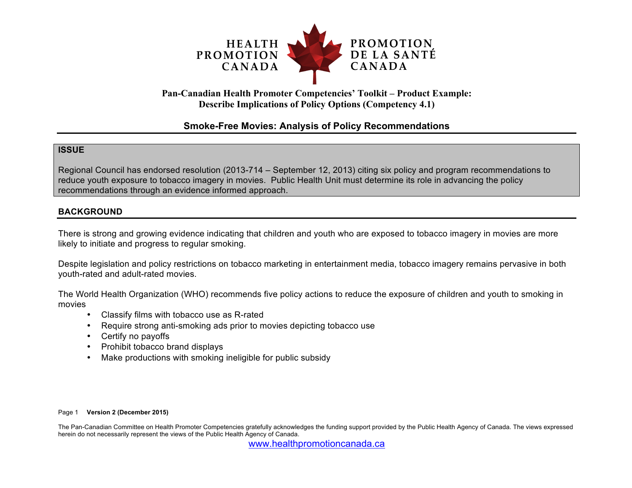

# **Pan-Canadian Health Promoter Competencies' Toolkit – Product Example: Describe Implications of Policy Options (Competency 4.1)**

# **Smoke-Free Movies: Analysis of Policy Recommendations**

## **ISSUE**

Regional Council has endorsed resolution (2013-714 – September 12, 2013) citing six policy and program recommendations to reduce youth exposure to tobacco imagery in movies. Public Health Unit must determine its role in advancing the policy recommendations through an evidence informed approach.

## **BACKGROUND**

There is strong and growing evidence indicating that children and youth who are exposed to tobacco imagery in movies are more likely to initiate and progress to regular smoking.

Despite legislation and policy restrictions on tobacco marketing in entertainment media, tobacco imagery remains pervasive in both youth-rated and adult-rated movies.

The World Health Organization (WHO) recommends five policy actions to reduce the exposure of children and youth to smoking in movies

- Classify films with tobacco use as R-rated
- Require strong anti-smoking ads prior to movies depicting tobacco use
- Certify no payoffs
- Prohibit tobacco brand displays
- Make productions with smoking ineligible for public subsidy

#### Page 1 **Version 2 (December 2015)**

The Pan-Canadian Committee on Health Promoter Competencies gratefully acknowledges the funding support provided by the Public Health Agency of Canada. The views expressed herein do not necessarily represent the views of the Public Health Agency of Canada.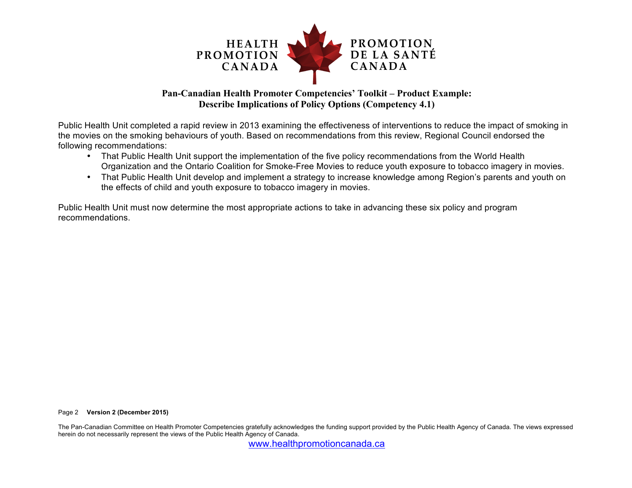

# **Pan-Canadian Health Promoter Competencies' Toolkit – Product Example: Describe Implications of Policy Options (Competency 4.1)**

Public Health Unit completed a rapid review in 2013 examining the effectiveness of interventions to reduce the impact of smoking in the movies on the smoking behaviours of youth. Based on recommendations from this review, Regional Council endorsed the following recommendations:

- That Public Health Unit support the implementation of the five policy recommendations from the World Health Organization and the Ontario Coalition for Smoke-Free Movies to reduce youth exposure to tobacco imagery in movies.
- That Public Health Unit develop and implement a strategy to increase knowledge among Region's parents and youth on the effects of child and youth exposure to tobacco imagery in movies.

Public Health Unit must now determine the most appropriate actions to take in advancing these six policy and program recommendations.

#### Page 2 **Version 2 (December 2015)**

The Pan-Canadian Committee on Health Promoter Competencies gratefully acknowledges the funding support provided by the Public Health Agency of Canada. The views expressed herein do not necessarily represent the views of the Public Health Agency of Canada.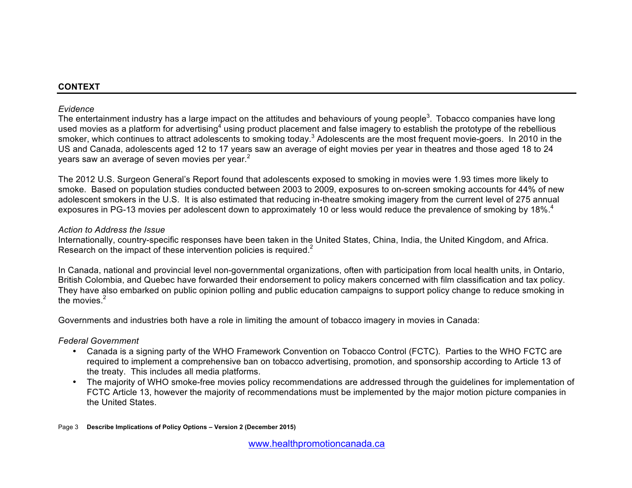## **CONTEXT**

## *Evidence*

The entertainment industry has a large impact on the attitudes and behaviours of young people<sup>3</sup>. Tobacco companies have long used movies as a platform for advertising<sup>4</sup> using product placement and false imagery to establish the prototype of the rebellious smoker, which continues to attract adolescents to smoking today.<sup>3</sup> Adolescents are the most frequent movie-goers. In 2010 in the US and Canada, adolescents aged 12 to 17 years saw an average of eight movies per year in theatres and those aged 18 to 24 years saw an average of seven movies per year.<sup>2</sup>

The 2012 U.S. Surgeon General's Report found that adolescents exposed to smoking in movies were 1.93 times more likely to smoke. Based on population studies conducted between 2003 to 2009, exposures to on-screen smoking accounts for 44% of new adolescent smokers in the U.S. It is also estimated that reducing in-theatre smoking imagery from the current level of 275 annual exposures in PG-13 movies per adolescent down to approximately 10 or less would reduce the prevalence of smoking by 18%.<sup>4</sup>

## *Action to Address the Issue*

Internationally, country-specific responses have been taken in the United States, China, India, the United Kingdom, and Africa. Research on the impact of these intervention policies is required. $2$ 

In Canada, national and provincial level non-governmental organizations, often with participation from local health units, in Ontario, British Colombia, and Quebec have forwarded their endorsement to policy makers concerned with film classification and tax policy. They have also embarked on public opinion polling and public education campaigns to support policy change to reduce smoking in the movies. $<sup>2</sup>$ </sup>

Governments and industries both have a role in limiting the amount of tobacco imagery in movies in Canada:

# *Federal Government*

- Canada is a signing party of the WHO Framework Convention on Tobacco Control (FCTC). Parties to the WHO FCTC are required to implement a comprehensive ban on tobacco advertising, promotion, and sponsorship according to Article 13 of the treaty. This includes all media platforms.
- The majority of WHO smoke-free movies policy recommendations are addressed through the guidelines for implementation of FCTC Article 13, however the majority of recommendations must be implemented by the major motion picture companies in the United States.

Page 3 **Describe Implications of Policy Options – Version 2 (December 2015)**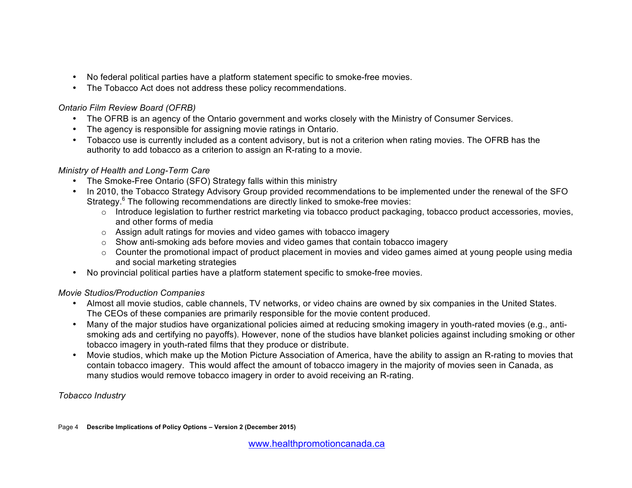- No federal political parties have a platform statement specific to smoke-free movies.
- The Tobacco Act does not address these policy recommendations.

# *Ontario Film Review Board (OFRB)*

- The OFRB is an agency of the Ontario government and works closely with the Ministry of Consumer Services.
- The agency is responsible for assigning movie ratings in Ontario.
- Tobacco use is currently included as a content advisory, but is not a criterion when rating movies. The OFRB has the authority to add tobacco as a criterion to assign an R-rating to a movie.

# *Ministry of Health and Long-Term Care*

- The Smoke-Free Ontario (SFO) Strategy falls within this ministry
- In 2010, the Tobacco Strategy Advisory Group provided recommendations to be implemented under the renewal of the SFO Strategy.<sup>6</sup> The following recommendations are directly linked to smoke-free movies:
	- $\circ$  Introduce legislation to further restrict marketing via tobacco product packaging, tobacco product accessories, movies, and other forms of media
	- o Assign adult ratings for movies and video games with tobacco imagery
	- o Show anti-smoking ads before movies and video games that contain tobacco imagery
	- o Counter the promotional impact of product placement in movies and video games aimed at young people using media and social marketing strategies
- No provincial political parties have a platform statement specific to smoke-free movies.

# *Movie Studios/Production Companies*

- Almost all movie studios, cable channels, TV networks, or video chains are owned by six companies in the United States. The CEOs of these companies are primarily responsible for the movie content produced.
- Many of the major studios have organizational policies aimed at reducing smoking imagery in youth-rated movies (e.g., antismoking ads and certifying no payoffs). However, none of the studios have blanket policies against including smoking or other tobacco imagery in youth-rated films that they produce or distribute.
- Movie studios, which make up the Motion Picture Association of America, have the ability to assign an R-rating to movies that contain tobacco imagery. This would affect the amount of tobacco imagery in the majority of movies seen in Canada, as many studios would remove tobacco imagery in order to avoid receiving an R-rating.

*Tobacco Industry*

Page 4 **Describe Implications of Policy Options – Version 2 (December 2015)**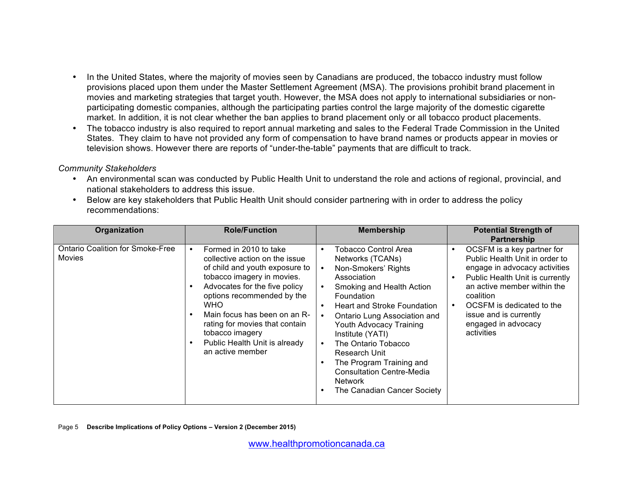- In the United States, where the majority of movies seen by Canadians are produced, the tobacco industry must follow provisions placed upon them under the Master Settlement Agreement (MSA). The provisions prohibit brand placement in movies and marketing strategies that target youth. However, the MSA does not apply to international subsidiaries or nonparticipating domestic companies, although the participating parties control the large majority of the domestic cigarette market. In addition, it is not clear whether the ban applies to brand placement only or all tobacco product placements.
- The tobacco industry is also required to report annual marketing and sales to the Federal Trade Commission in the United States. They claim to have not provided any form of compensation to have brand names or products appear in movies or television shows. However there are reports of "under-the-table" payments that are difficult to track.

#### *Community Stakeholders*

- An environmental scan was conducted by Public Health Unit to understand the role and actions of regional, provincial, and national stakeholders to address this issue.
- Below are key stakeholders that Public Health Unit should consider partnering with in order to address the policy recommendations:

| Organization                                             | <b>Role/Function</b>                                                                                                                                                                                                                                                                                                                                 | <b>Membership</b>                                                                                                                                                                                                                                                                                                                                                                                                                                                                                 | <b>Potential Strength of</b><br><b>Partnership</b>                                                                                                                                                                                                                       |
|----------------------------------------------------------|------------------------------------------------------------------------------------------------------------------------------------------------------------------------------------------------------------------------------------------------------------------------------------------------------------------------------------------------------|---------------------------------------------------------------------------------------------------------------------------------------------------------------------------------------------------------------------------------------------------------------------------------------------------------------------------------------------------------------------------------------------------------------------------------------------------------------------------------------------------|--------------------------------------------------------------------------------------------------------------------------------------------------------------------------------------------------------------------------------------------------------------------------|
| <b>Ontario Coalition for Smoke-Free</b><br><b>Movies</b> | Formed in 2010 to take<br>٠<br>collective action on the issue<br>of child and youth exposure to<br>tobacco imagery in movies.<br>Advocates for the five policy<br>options recommended by the<br><b>WHO</b><br>Main focus has been on an R-<br>rating for movies that contain<br>tobacco imagery<br>Public Health Unit is already<br>an active member | <b>Tobacco Control Area</b><br>$\bullet$<br>Networks (TCANs)<br>Non-Smokers' Rights<br>$\bullet$<br>Association<br>Smoking and Health Action<br>$\bullet$<br>Foundation<br><b>Heart and Stroke Foundation</b><br>$\bullet$<br>Ontario Lung Association and<br>$\bullet$<br>Youth Advocacy Training<br>Institute (YATI)<br>The Ontario Tobacco<br>$\bullet$<br>Research Unit<br>The Program Training and<br>٠<br><b>Consultation Centre-Media</b><br><b>Network</b><br>The Canadian Cancer Society | OCSFM is a key partner for<br>Public Health Unit in order to<br>engage in advocacy activities<br>Public Health Unit is currently<br>an active member within the<br>coalition<br>OCSFM is dedicated to the<br>issue and is currently<br>engaged in advocacy<br>activities |

Page 5 **Describe Implications of Policy Options – Version 2 (December 2015)**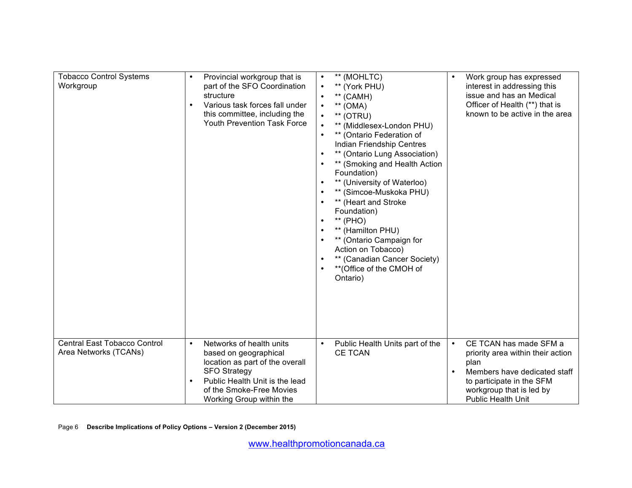| <b>Tobacco Control Systems</b><br>Workgroup                  | Provincial workgroup that is<br>part of the SFO Coordination<br>structure<br>Various task forces fall under<br>this committee, including the<br>Youth Prevention Task Force                                                     | ** (MOHLTC)<br>$\bullet$<br>** (York PHU)<br>$\bullet$<br>** (CAMH)<br>$\bullet$<br>$**$ (OMA)<br>$\bullet$<br>** (OTRU)<br>$\bullet$<br>** (Middlesex-London PHU)<br>$\bullet$<br>** (Ontario Federation of<br>$\bullet$<br>Indian Friendship Centres<br>** (Ontario Lung Association)<br>** (Smoking and Health Action<br>Foundation)<br>** (University of Waterloo)<br>$\bullet$<br>** (Simcoe-Muskoka PHU)<br>** (Heart and Stroke<br>$\bullet$<br>Foundation)<br>** (PHO)<br>** (Hamilton PHU)<br>** (Ontario Campaign for<br>Action on Tobacco)<br>** (Canadian Cancer Society)<br>$\bullet$<br>** (Office of the CMOH of<br>Ontario) | Work group has expressed<br>interest in addressing this<br>issue and has an Medical<br>Officer of Health (**) that is<br>known to be active in the area                                   |
|--------------------------------------------------------------|---------------------------------------------------------------------------------------------------------------------------------------------------------------------------------------------------------------------------------|---------------------------------------------------------------------------------------------------------------------------------------------------------------------------------------------------------------------------------------------------------------------------------------------------------------------------------------------------------------------------------------------------------------------------------------------------------------------------------------------------------------------------------------------------------------------------------------------------------------------------------------------|-------------------------------------------------------------------------------------------------------------------------------------------------------------------------------------------|
| <b>Central East Tobacco Control</b><br>Area Networks (TCANs) | Networks of health units<br>$\bullet$<br>based on geographical<br>location as part of the overall<br><b>SFO Strategy</b><br>Public Health Unit is the lead<br>$\bullet$<br>of the Smoke-Free Movies<br>Working Group within the | Public Health Units part of the<br>$\bullet$<br><b>CE TCAN</b>                                                                                                                                                                                                                                                                                                                                                                                                                                                                                                                                                                              | CE TCAN has made SFM a<br>priority area within their action<br>plan<br>Members have dedicated staff<br>to participate in the SFM<br>workgroup that is led by<br><b>Public Health Unit</b> |

Page 6 **Describe Implications of Policy Options – Version 2 (December 2015)**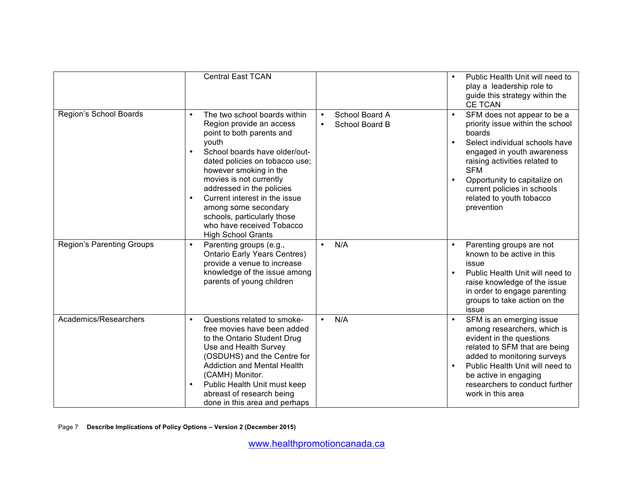|                                  | <b>Central East TCAN</b>                                                                                                                                                                                                                                                                                                                                                                                                                     |                                                            | Public Health Unit will need to<br>play a leadership role to<br>guide this strategy within the<br><b>CE TCAN</b>                                                                                                                                                                                               |
|----------------------------------|----------------------------------------------------------------------------------------------------------------------------------------------------------------------------------------------------------------------------------------------------------------------------------------------------------------------------------------------------------------------------------------------------------------------------------------------|------------------------------------------------------------|----------------------------------------------------------------------------------------------------------------------------------------------------------------------------------------------------------------------------------------------------------------------------------------------------------------|
| Region's School Boards           | The two school boards within<br>$\bullet$<br>Region provide an access<br>point to both parents and<br>youth<br>School boards have older/out-<br>$\bullet$<br>dated policies on tobacco use;<br>however smoking in the<br>movies is not currently<br>addressed in the policies<br>Current interest in the issue<br>$\bullet$<br>among some secondary<br>schools, particularly those<br>who have received Tobacco<br><b>High School Grants</b> | School Board A<br>$\bullet$<br>School Board B<br>$\bullet$ | SFM does not appear to be a<br>$\bullet$<br>priority issue within the school<br>boards<br>Select individual schools have<br>engaged in youth awareness<br>raising activities related to<br><b>SFM</b><br>Opportunity to capitalize on<br>current policies in schools<br>related to youth tobacco<br>prevention |
| <b>Region's Parenting Groups</b> | Parenting groups (e.g.,<br>$\bullet$<br><b>Ontario Early Years Centres)</b><br>provide a venue to increase<br>knowledge of the issue among<br>parents of young children                                                                                                                                                                                                                                                                      | N/A<br>$\bullet$                                           | Parenting groups are not<br>known to be active in this<br>issue<br>Public Health Unit will need to<br>raise knowledge of the issue<br>in order to engage parenting<br>groups to take action on the<br>issue                                                                                                    |
| Academics/Researchers            | Questions related to smoke-<br>$\bullet$<br>free movies have been added<br>to the Ontario Student Drug<br>Use and Health Survey<br>(OSDUHS) and the Centre for<br><b>Addiction and Mental Health</b><br>(CAMH) Monitor.<br>Public Health Unit must keep<br>$\bullet$<br>abreast of research being<br>done in this area and perhaps                                                                                                           | N/A<br>$\bullet$                                           | SFM is an emerging issue<br>among researchers, which is<br>evident in the questions<br>related to SFM that are being<br>added to monitoring surveys<br>Public Health Unit will need to<br>be active in engaging<br>researchers to conduct further<br>work in this area                                         |

Page 7 **Describe Implications of Policy Options – Version 2 (December 2015)**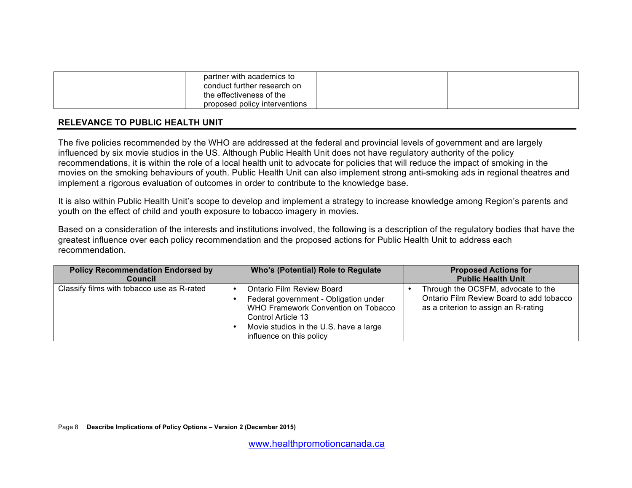| partner with academics to<br>conduct further research on  |  |
|-----------------------------------------------------------|--|
| the effectiveness of the<br>proposed policy interventions |  |

## **RELEVANCE TO PUBLIC HEALTH UNIT**

The five policies recommended by the WHO are addressed at the federal and provincial levels of government and are largely influenced by six movie studios in the US. Although Public Health Unit does not have regulatory authority of the policy recommendations, it is within the role of a local health unit to advocate for policies that will reduce the impact of smoking in the movies on the smoking behaviours of youth. Public Health Unit can also implement strong anti-smoking ads in regional theatres and implement a rigorous evaluation of outcomes in order to contribute to the knowledge base.

It is also within Public Health Unit's scope to develop and implement a strategy to increase knowledge among Region's parents and youth on the effect of child and youth exposure to tobacco imagery in movies.

Based on a consideration of the interests and institutions involved, the following is a description of the regulatory bodies that have the greatest influence over each policy recommendation and the proposed actions for Public Health Unit to address each recommendation.

| <b>Policy Recommendation Endorsed by</b><br><b>Council</b> | <b>Who's (Potential) Role to Regulate</b>                                                                                                                                                             | <b>Proposed Actions for</b><br><b>Public Health Unit</b>                                                               |
|------------------------------------------------------------|-------------------------------------------------------------------------------------------------------------------------------------------------------------------------------------------------------|------------------------------------------------------------------------------------------------------------------------|
| Classify films with tobacco use as R-rated                 | Ontario Film Review Board<br>Federal government - Obligation under<br>WHO Framework Convention on Tobacco<br>Control Article 13<br>Movie studios in the U.S. have a large<br>influence on this policy | Through the OCSFM, advocate to the<br>Ontario Film Review Board to add tobacco<br>as a criterion to assign an R-rating |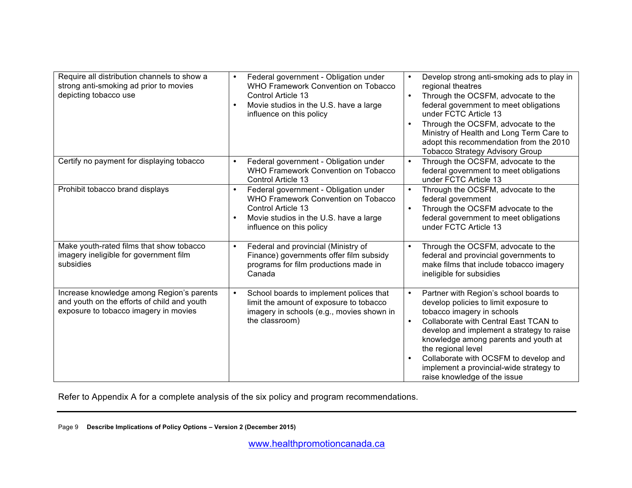| Require all distribution channels to show a | Federal government - Obligation under<br>$\bullet$                 | Develop strong anti-smoking ads to play in<br>$\bullet$                          |
|---------------------------------------------|--------------------------------------------------------------------|----------------------------------------------------------------------------------|
| strong anti-smoking ad prior to movies      | WHO Framework Convention on Tobacco                                | regional theatres                                                                |
| depicting tobacco use                       | Control Article 13                                                 | Through the OCSFM, advocate to the<br>$\bullet$                                  |
|                                             | Movie studios in the U.S. have a large                             | federal government to meet obligations                                           |
|                                             | influence on this policy                                           | under FCTC Article 13                                                            |
|                                             |                                                                    | Through the OCSFM, advocate to the                                               |
|                                             |                                                                    | Ministry of Health and Long Term Care to                                         |
|                                             |                                                                    | adopt this recommendation from the 2010                                          |
|                                             |                                                                    | <b>Tobacco Strategy Advisory Group</b>                                           |
| Certify no payment for displaying tobacco   | Federal government - Obligation under                              | Through the OCSFM, advocate to the                                               |
|                                             | WHO Framework Convention on Tobacco                                | federal government to meet obligations                                           |
|                                             | Control Article 13                                                 | under FCTC Article 13                                                            |
| Prohibit tobacco brand displays             | Federal government - Obligation under<br>$\bullet$                 | Through the OCSFM, advocate to the<br>$\bullet$                                  |
|                                             | WHO Framework Convention on Tobacco                                | federal government                                                               |
|                                             | Control Article 13                                                 | Through the OCSFM advocate to the<br>$\bullet$                                   |
|                                             | Movie studios in the U.S. have a large<br>influence on this policy | federal government to meet obligations<br>under FCTC Article 13                  |
|                                             |                                                                    |                                                                                  |
| Make youth-rated films that show tobacco    | Federal and provincial (Ministry of<br>$\bullet$                   | Through the OCSFM, advocate to the<br>$\bullet$                                  |
| imagery ineligible for government film      | Finance) governments offer film subsidy                            | federal and provincial governments to                                            |
| subsidies                                   | programs for film productions made in                              | make films that include tobacco imagery                                          |
|                                             | Canada                                                             | ineligible for subsidies                                                         |
|                                             |                                                                    |                                                                                  |
| Increase knowledge among Region's parents   | School boards to implement polices that<br>$\bullet$               | Partner with Region's school boards to                                           |
| and youth on the efforts of child and youth | limit the amount of exposure to tobacco                            | develop policies to limit exposure to                                            |
| exposure to tobacco imagery in movies       | imagery in schools (e.g., movies shown in                          | tobacco imagery in schools                                                       |
|                                             | the classroom)                                                     | Collaborate with Central East TCAN to                                            |
|                                             |                                                                    | develop and implement a strategy to raise                                        |
|                                             |                                                                    | knowledge among parents and youth at                                             |
|                                             |                                                                    | the regional level                                                               |
|                                             |                                                                    | Collaborate with OCSFM to develop and<br>implement a provincial-wide strategy to |
|                                             |                                                                    | raise knowledge of the issue                                                     |

Refer to Appendix A for a complete analysis of the six policy and program recommendations.

Page 9 **Describe Implications of Policy Options – Version 2 (December 2015)**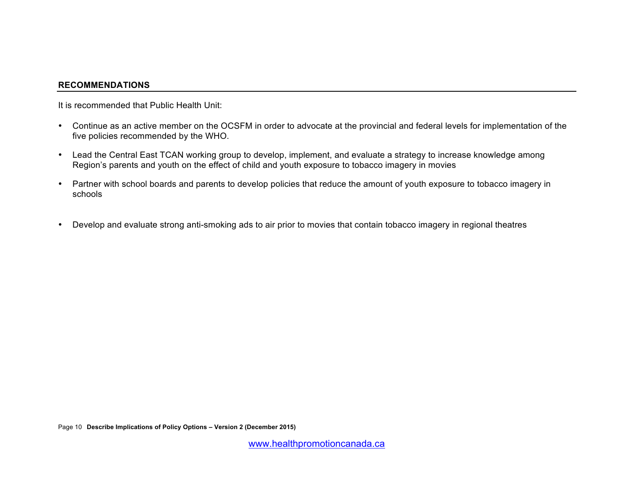#### **RECOMMENDATIONS**

It is recommended that Public Health Unit:

- Continue as an active member on the OCSFM in order to advocate at the provincial and federal levels for implementation of the five policies recommended by the WHO.
- Lead the Central East TCAN working group to develop, implement, and evaluate a strategy to increase knowledge among Region's parents and youth on the effect of child and youth exposure to tobacco imagery in movies
- Partner with school boards and parents to develop policies that reduce the amount of youth exposure to tobacco imagery in schools
- Develop and evaluate strong anti-smoking ads to air prior to movies that contain tobacco imagery in regional theatres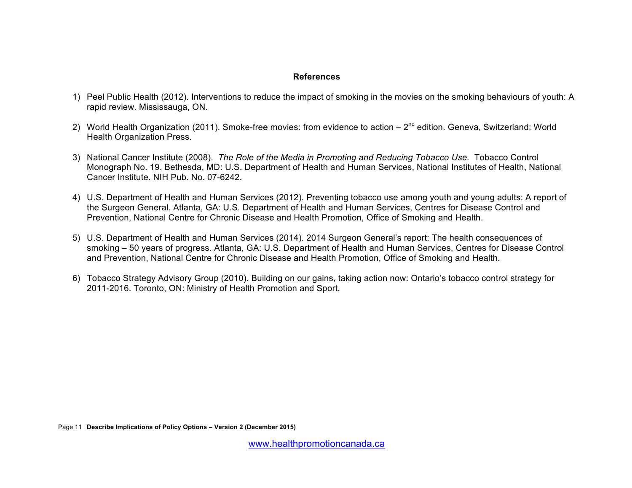#### **References**

- 1) Peel Public Health (2012). Interventions to reduce the impact of smoking in the movies on the smoking behaviours of youth: A rapid review. Mississauga, ON.
- 2) World Health Organization (2011). Smoke-free movies: from evidence to action  $2^{nd}$  edition. Geneva, Switzerland: World Health Organization Press.
- 3) National Cancer Institute (2008). *The Role of the Media in Promoting and Reducing Tobacco Use.* Tobacco Control Monograph No. 19. Bethesda, MD: U.S. Department of Health and Human Services, National Institutes of Health, National Cancer Institute. NIH Pub. No. 07-6242.
- 4) U.S. Department of Health and Human Services (2012). Preventing tobacco use among youth and young adults: A report of the Surgeon General. Atlanta, GA: U.S. Department of Health and Human Services, Centres for Disease Control and Prevention, National Centre for Chronic Disease and Health Promotion, Office of Smoking and Health.
- 5) U.S. Department of Health and Human Services (2014). 2014 Surgeon General's report: The health consequences of smoking – 50 years of progress. Atlanta, GA: U.S. Department of Health and Human Services, Centres for Disease Control and Prevention, National Centre for Chronic Disease and Health Promotion, Office of Smoking and Health.
- 6) Tobacco Strategy Advisory Group (2010). Building on our gains, taking action now: Ontario's tobacco control strategy for 2011-2016. Toronto, ON: Ministry of Health Promotion and Sport.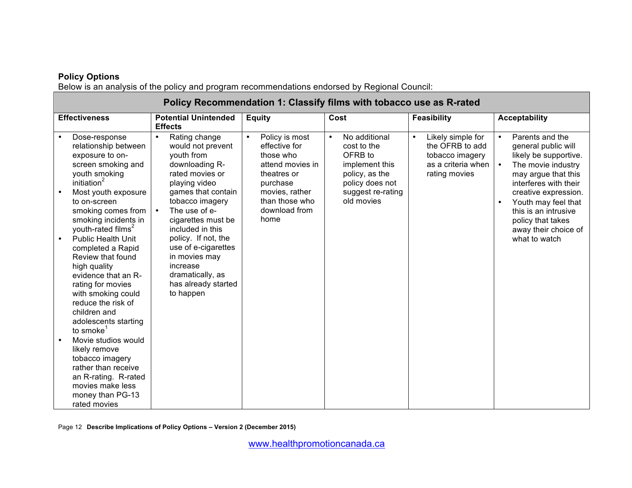# **Policy Options**

Below is an analysis of the policy and program recommendations endorsed by Regional Council:

|           | Policy Recommendation 1: Classify films with tobacco use as R-rated                                                                                                                                                                                                                  |                                                                                                                                                                                                                                      |                                                                                                                                                                       |                                                                                                                                                |                                                                                                             |                                                                                                                                                                                                                                                                                                  |
|-----------|--------------------------------------------------------------------------------------------------------------------------------------------------------------------------------------------------------------------------------------------------------------------------------------|--------------------------------------------------------------------------------------------------------------------------------------------------------------------------------------------------------------------------------------|-----------------------------------------------------------------------------------------------------------------------------------------------------------------------|------------------------------------------------------------------------------------------------------------------------------------------------|-------------------------------------------------------------------------------------------------------------|--------------------------------------------------------------------------------------------------------------------------------------------------------------------------------------------------------------------------------------------------------------------------------------------------|
|           | <b>Effectiveness</b>                                                                                                                                                                                                                                                                 | <b>Potential Unintended</b><br><b>Effects</b>                                                                                                                                                                                        | <b>Equity</b>                                                                                                                                                         | Cost                                                                                                                                           | <b>Feasibility</b>                                                                                          | <b>Acceptability</b>                                                                                                                                                                                                                                                                             |
| $\bullet$ | Dose-response<br>relationship between<br>exposure to on-<br>screen smoking and<br>youth smoking<br>initiation <sup>2</sup><br>Most youth exposure<br>to on-screen<br>smoking comes from<br>smoking incidents in<br>youth-rated films <sup>2</sup>                                    | Rating change<br>$\bullet$<br>would not prevent<br>youth from<br>downloading R-<br>rated movies or<br>playing video<br>games that contain<br>tobacco imagery<br>The use of e-<br>$\bullet$<br>cigarettes must be<br>included in this | Policy is most<br>$\bullet$<br>effective for<br>those who<br>attend movies in<br>theatres or<br>purchase<br>movies, rather<br>than those who<br>download from<br>home | No additional<br>$\bullet$<br>cost to the<br>OFRB to<br>implement this<br>policy, as the<br>policy does not<br>suggest re-rating<br>old movies | Likely simple for<br>$\bullet$<br>the OFRB to add<br>tobacco imagery<br>as a criteria when<br>rating movies | Parents and the<br>$\bullet$<br>general public will<br>likely be supportive.<br>The movie industry<br>$\bullet$<br>may argue that this<br>interferes with their<br>creative expression.<br>Youth may feel that<br>$\bullet$<br>this is an intrusive<br>policy that takes<br>away their choice of |
|           | <b>Public Health Unit</b><br>completed a Rapid<br>Review that found<br>high quality<br>evidence that an R-<br>rating for movies<br>with smoking could<br>reduce the risk of<br>children and<br>adolescents starting<br>to smoke <sup>1</sup><br>Movie studios would<br>likely remove | policy. If not, the<br>use of e-cigarettes<br>in movies may<br>increase<br>dramatically, as<br>has already started<br>to happen                                                                                                      |                                                                                                                                                                       |                                                                                                                                                |                                                                                                             | what to watch                                                                                                                                                                                                                                                                                    |
|           | tobacco imagery<br>rather than receive<br>an R-rating. R-rated<br>movies make less<br>money than PG-13<br>rated movies                                                                                                                                                               |                                                                                                                                                                                                                                      |                                                                                                                                                                       |                                                                                                                                                |                                                                                                             |                                                                                                                                                                                                                                                                                                  |

Page 12 **Describe Implications of Policy Options – Version 2 (December 2015)**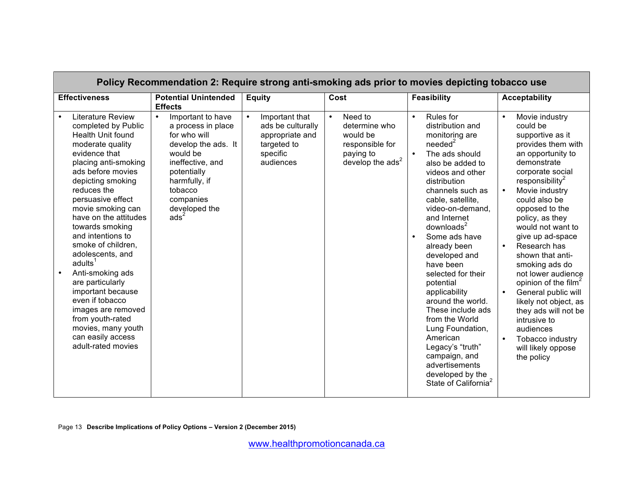| Policy Recommendation 2: Require strong anti-smoking ads prior to movies depicting tobacco use                                                                                                                                                                                                                                                                                                                                                                                                                                                                    |                                                                                                                                                                                                                          |                                                                                                             |                                                                                                                 |                                                                                                                                                                                                                                                                                                                                                                                                                                                                                                                                                                                                                                     |                                                                                                                                                                                                                                                                                                                                                                                                                                                                                                                                                                                                               |
|-------------------------------------------------------------------------------------------------------------------------------------------------------------------------------------------------------------------------------------------------------------------------------------------------------------------------------------------------------------------------------------------------------------------------------------------------------------------------------------------------------------------------------------------------------------------|--------------------------------------------------------------------------------------------------------------------------------------------------------------------------------------------------------------------------|-------------------------------------------------------------------------------------------------------------|-----------------------------------------------------------------------------------------------------------------|-------------------------------------------------------------------------------------------------------------------------------------------------------------------------------------------------------------------------------------------------------------------------------------------------------------------------------------------------------------------------------------------------------------------------------------------------------------------------------------------------------------------------------------------------------------------------------------------------------------------------------------|---------------------------------------------------------------------------------------------------------------------------------------------------------------------------------------------------------------------------------------------------------------------------------------------------------------------------------------------------------------------------------------------------------------------------------------------------------------------------------------------------------------------------------------------------------------------------------------------------------------|
| <b>Effectiveness</b>                                                                                                                                                                                                                                                                                                                                                                                                                                                                                                                                              | <b>Potential Unintended</b><br><b>Effects</b>                                                                                                                                                                            | <b>Equity</b>                                                                                               | Cost                                                                                                            | <b>Feasibility</b>                                                                                                                                                                                                                                                                                                                                                                                                                                                                                                                                                                                                                  | <b>Acceptability</b>                                                                                                                                                                                                                                                                                                                                                                                                                                                                                                                                                                                          |
| <b>Literature Review</b><br>completed by Public<br>Health Unit found<br>moderate quality<br>evidence that<br>placing anti-smoking<br>ads before movies<br>depicting smoking<br>reduces the<br>persuasive effect<br>movie smoking can<br>have on the attitudes<br>towards smoking<br>and intentions to<br>smoke of children,<br>adolescents, and<br>adults <sup>1</sup><br>Anti-smoking ads<br>are particularly<br>important because<br>even if tobacco<br>images are removed<br>from youth-rated<br>movies, many youth<br>can easily access<br>adult-rated movies | Important to have<br>$\bullet$<br>a process in place<br>for who will<br>develop the ads. It<br>would be<br>ineffective, and<br>potentially<br>harmfully, if<br>tobacco<br>companies<br>developed the<br>ads <sup>2</sup> | Important that<br>$\bullet$<br>ads be culturally<br>appropriate and<br>targeted to<br>specific<br>audiences | Need to<br>$\bullet$<br>determine who<br>would be<br>responsible for<br>paying to<br>develop the $\text{ads}^2$ | $\bullet$<br><b>Rules</b> for<br>distribution and<br>monitoring are<br>needed <sup>2</sup><br>The ads should<br>$\bullet$<br>also be added to<br>videos and other<br>distribution<br>channels such as<br>cable, satellite,<br>video-on-demand,<br>and Internet<br>downloads <sup>2</sup><br>Some ads have<br>$\bullet$<br>already been<br>developed and<br>have been<br>selected for their<br>potential<br>applicability<br>around the world.<br>These include ads<br>from the World<br>Lung Foundation,<br>American<br>Legacy's "truth"<br>campaign, and<br>advertisements<br>developed by the<br>State of California <sup>2</sup> | Movie industry<br>$\bullet$<br>could be<br>supportive as it<br>provides them with<br>an opportunity to<br>demonstrate<br>corporate social<br>responsibility <sup>2</sup><br>Movie industry<br>could also be<br>opposed to the<br>policy, as they<br>would not want to<br>give up ad-space<br>Research has<br>$\bullet$<br>shown that anti-<br>smoking ads do<br>not lower audience<br>opinion of the film <sup>2</sup><br>General public will<br>$\bullet$<br>likely not object, as<br>they ads will not be<br>intrusive to<br>audiences<br>$\bullet$<br>Tobacco industry<br>will likely oppose<br>the policy |

Page 13 **Describe Implications of Policy Options – Version 2 (December 2015)**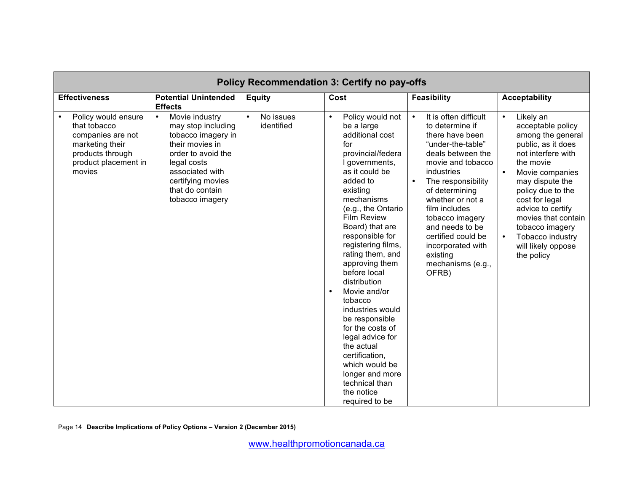| <b>Policy Recommendation 3: Certify no pay-offs</b>                                                                               |                                                                                                                                                                                                               |                         |                                                                                                                                                                                                                                                                                                                                                                                                                                                                                                                                                                                                 |                                                                                                                                                                                                                                                                                                                                                               |                                                                                                                                                                                                                                                                                                                  |
|-----------------------------------------------------------------------------------------------------------------------------------|---------------------------------------------------------------------------------------------------------------------------------------------------------------------------------------------------------------|-------------------------|-------------------------------------------------------------------------------------------------------------------------------------------------------------------------------------------------------------------------------------------------------------------------------------------------------------------------------------------------------------------------------------------------------------------------------------------------------------------------------------------------------------------------------------------------------------------------------------------------|---------------------------------------------------------------------------------------------------------------------------------------------------------------------------------------------------------------------------------------------------------------------------------------------------------------------------------------------------------------|------------------------------------------------------------------------------------------------------------------------------------------------------------------------------------------------------------------------------------------------------------------------------------------------------------------|
| <b>Effectiveness</b>                                                                                                              | <b>Potential Unintended</b><br><b>Effects</b>                                                                                                                                                                 | <b>Equity</b>           | Cost                                                                                                                                                                                                                                                                                                                                                                                                                                                                                                                                                                                            | <b>Feasibility</b>                                                                                                                                                                                                                                                                                                                                            | <b>Acceptability</b>                                                                                                                                                                                                                                                                                             |
| Policy would ensure<br>that tobacco<br>companies are not<br>marketing their<br>products through<br>product placement in<br>movies | Movie industry<br>$\bullet$<br>may stop including<br>tobacco imagery in<br>their movies in<br>order to avoid the<br>legal costs<br>associated with<br>certifying movies<br>that do contain<br>tobacco imagery | No issues<br>identified | Policy would not<br>$\bullet$<br>be a large<br>additional cost<br>for<br>provincial/federa<br>I governments,<br>as it could be<br>added to<br>existing<br>mechanisms<br>(e.g., the Ontario<br><b>Film Review</b><br>Board) that are<br>responsible for<br>registering films,<br>rating them, and<br>approving them<br>before local<br>distribution<br>Movie and/or<br>$\bullet$<br>tobacco<br>industries would<br>be responsible<br>for the costs of<br>legal advice for<br>the actual<br>certification,<br>which would be<br>longer and more<br>technical than<br>the notice<br>required to be | It is often difficult<br>$\bullet$<br>to determine if<br>there have been<br>"under-the-table"<br>deals between the<br>movie and tobacco<br>industries<br>The responsibility<br>of determining<br>whether or not a<br>film includes<br>tobacco imagery<br>and needs to be<br>certified could be<br>incorporated with<br>existing<br>mechanisms (e.g.,<br>OFRB) | Likely an<br>acceptable policy<br>among the general<br>public, as it does<br>not interfere with<br>the movie<br>Movie companies<br>may dispute the<br>policy due to the<br>cost for legal<br>advice to certify<br>movies that contain<br>tobacco imagery<br>Tobacco industry<br>will likely oppose<br>the policy |

Page 14 **Describe Implications of Policy Options – Version 2 (December 2015)**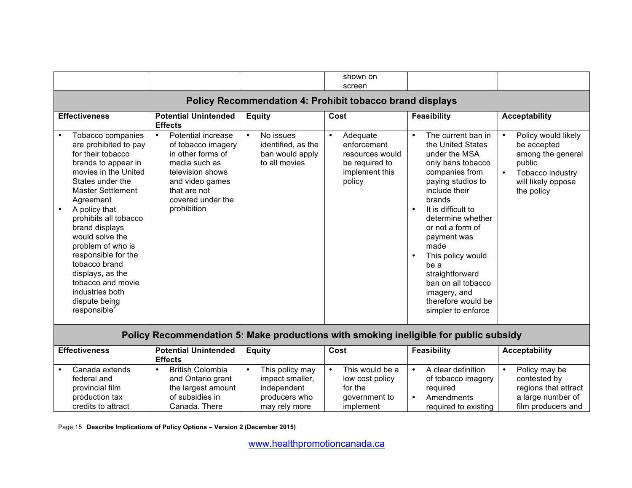|                                                                                                                                                                                                                                                                                                                                                                                                                                  |                                                                                                                                                                                               |                                                                                                  | shown on                                                                                              |                                                                                                                                                                                                                                                                                                                                                                                                   |                                                                                                                                        |  |
|----------------------------------------------------------------------------------------------------------------------------------------------------------------------------------------------------------------------------------------------------------------------------------------------------------------------------------------------------------------------------------------------------------------------------------|-----------------------------------------------------------------------------------------------------------------------------------------------------------------------------------------------|--------------------------------------------------------------------------------------------------|-------------------------------------------------------------------------------------------------------|---------------------------------------------------------------------------------------------------------------------------------------------------------------------------------------------------------------------------------------------------------------------------------------------------------------------------------------------------------------------------------------------------|----------------------------------------------------------------------------------------------------------------------------------------|--|
|                                                                                                                                                                                                                                                                                                                                                                                                                                  |                                                                                                                                                                                               |                                                                                                  | screen                                                                                                |                                                                                                                                                                                                                                                                                                                                                                                                   |                                                                                                                                        |  |
| <b>Policy Recommendation 4: Prohibit tobacco brand displays</b>                                                                                                                                                                                                                                                                                                                                                                  |                                                                                                                                                                                               |                                                                                                  |                                                                                                       |                                                                                                                                                                                                                                                                                                                                                                                                   |                                                                                                                                        |  |
| <b>Effectiveness</b>                                                                                                                                                                                                                                                                                                                                                                                                             | <b>Potential Unintended</b><br><b>Effects</b>                                                                                                                                                 | <b>Equity</b><br>$\bullet$                                                                       | Cost                                                                                                  | <b>Feasibility</b><br>$\bullet$                                                                                                                                                                                                                                                                                                                                                                   | <b>Acceptability</b>                                                                                                                   |  |
| Tobacco companies<br>are prohibited to pay<br>for their tobacco<br>brands to appear in<br>movies in the United<br>States under the<br><b>Master Settlement</b><br>Agreement<br>A policy that<br>prohibits all tobacco<br>brand displays<br>would solve the<br>problem of who is<br>responsible for the<br>tobacco brand<br>displays, as the<br>tobacco and movie<br>industries both<br>dispute being<br>responsible <sup>2</sup> | <b>Potential increase</b><br>$\bullet$<br>of tobacco imagery<br>in other forms of<br>media such as<br>television shows<br>and video games<br>that are not<br>covered under the<br>prohibition | No issues<br>identified, as the<br>ban would apply<br>to all movies                              | Adequate<br>$\bullet$<br>enforcement<br>resources would<br>be required to<br>implement this<br>policy | The current ban in<br>the United States<br>under the MSA<br>only bans tobacco<br>companies from<br>paying studios to<br>include their<br>brands<br>It is difficult to<br>$\bullet$<br>determine whether<br>or not a form of<br>payment was<br>made<br>This policy would<br>$\bullet$<br>be a<br>straightforward<br>ban on all tobacco<br>imagery, and<br>therefore would be<br>simpler to enforce | Policy would likely<br>be accepted<br>among the general<br>public<br>Tobacco industry<br>$\bullet$<br>will likely oppose<br>the policy |  |
|                                                                                                                                                                                                                                                                                                                                                                                                                                  | Policy Recommendation 5: Make productions with smoking ineligible for public subsidy                                                                                                          |                                                                                                  |                                                                                                       |                                                                                                                                                                                                                                                                                                                                                                                                   |                                                                                                                                        |  |
| <b>Effectiveness</b>                                                                                                                                                                                                                                                                                                                                                                                                             | <b>Potential Unintended</b><br><b>Effects</b>                                                                                                                                                 | <b>Equity</b>                                                                                    | Cost                                                                                                  | <b>Feasibility</b>                                                                                                                                                                                                                                                                                                                                                                                | <b>Acceptability</b>                                                                                                                   |  |
| Canada extends<br>federal and<br>provincial film<br>production tax<br>credits to attract                                                                                                                                                                                                                                                                                                                                         | <b>British Colombia</b><br>$\bullet$<br>and Ontario grant<br>the largest amount<br>of subsidies in<br>Canada. There                                                                           | This policy may<br>$\bullet$<br>impact smaller,<br>independent<br>producers who<br>may rely more | This would be a<br>$\bullet$<br>low cost policy<br>for the<br>government to<br>implement              | A clear definition<br>$\bullet$<br>of tobacco imagery<br>required<br>Amendments<br>$\bullet$<br>required to existing                                                                                                                                                                                                                                                                              | Policy may be<br>$\bullet$<br>contested by<br>regions that attract<br>a large number of<br>film producers and                          |  |

Page 15 **Describe Implications of Policy Options – Version 2 (December 2015)**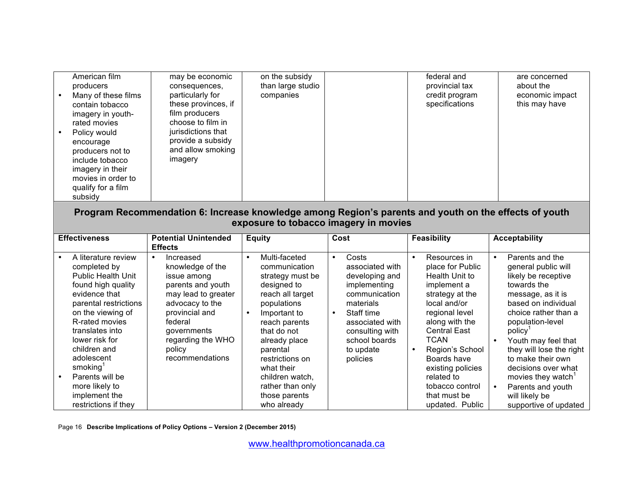| American film<br>producers<br>Many of these films<br>contain tobacco<br>imagery in youth-<br>rated movies<br>Policy would<br>encourage<br>producers not to<br>include tobacco<br>imagery in their<br>movies in order to<br>qualify for a film<br>subsidy | may be economic<br>consequences,<br>particularly for<br>these provinces, if<br>film producers<br>choose to film in<br>jurisdictions that<br>provide a subsidy<br>and allow smoking<br>imagery | on the subsidy<br>than large studio<br>companies |  | federal and<br>provincial tax<br>credit program<br>specifications | are concerned<br>about the<br>economic impact<br>this may have |
|----------------------------------------------------------------------------------------------------------------------------------------------------------------------------------------------------------------------------------------------------------|-----------------------------------------------------------------------------------------------------------------------------------------------------------------------------------------------|--------------------------------------------------|--|-------------------------------------------------------------------|----------------------------------------------------------------|
| Program Recommendation 6: Increase knowledge among Region's parents and youth on the effects of youth<br>exposure to tobacco imagery in movies                                                                                                           |                                                                                                                                                                                               |                                                  |  |                                                                   |                                                                |

| <b>Effectiveness</b>                                                                                                                                                                                                                                                                                                                             | <b>Potential Unintended</b>                                                                                                                                                                               | <b>Equity</b>                                                                                                                                                                                                                                                                                          | Cost                                                                                                                                                                                                             | <b>Feasibility</b>                                                                                                                                                                                                                                                                                                     | <b>Acceptability</b>                                                                                                                                                                                                                                                                                                                                                                         |
|--------------------------------------------------------------------------------------------------------------------------------------------------------------------------------------------------------------------------------------------------------------------------------------------------------------------------------------------------|-----------------------------------------------------------------------------------------------------------------------------------------------------------------------------------------------------------|--------------------------------------------------------------------------------------------------------------------------------------------------------------------------------------------------------------------------------------------------------------------------------------------------------|------------------------------------------------------------------------------------------------------------------------------------------------------------------------------------------------------------------|------------------------------------------------------------------------------------------------------------------------------------------------------------------------------------------------------------------------------------------------------------------------------------------------------------------------|----------------------------------------------------------------------------------------------------------------------------------------------------------------------------------------------------------------------------------------------------------------------------------------------------------------------------------------------------------------------------------------------|
|                                                                                                                                                                                                                                                                                                                                                  | <b>Effects</b>                                                                                                                                                                                            |                                                                                                                                                                                                                                                                                                        |                                                                                                                                                                                                                  |                                                                                                                                                                                                                                                                                                                        |                                                                                                                                                                                                                                                                                                                                                                                              |
| A literature review<br>completed by<br><b>Public Health Unit</b><br>found high quality<br>evidence that<br>parental restrictions<br>on the viewing of<br>R-rated movies<br>translates into<br>lower risk for<br>children and<br>adolescent<br>smoking <sup>1</sup><br>Parents will be<br>more likely to<br>implement the<br>restrictions if they | Increased<br>knowledge of the<br>issue among<br>parents and youth<br>may lead to greater<br>advocacy to the<br>provincial and<br>federal<br>governments<br>regarding the WHO<br>policy<br>recommendations | Multi-faceted<br>$\bullet$<br>communication<br>strategy must be<br>designed to<br>reach all target<br>populations<br>Important to<br>reach parents<br>that do not<br>already place<br>parental<br>restrictions on<br>what their<br>children watch.<br>rather than only<br>those parents<br>who already | Costs<br>$\bullet$<br>associated with<br>developing and<br>implementing<br>communication<br>materials<br>Staff time<br>$\bullet$<br>associated with<br>consulting with<br>school boards<br>to update<br>policies | Resources in<br>$\bullet$<br>place for Public<br>Health Unit to<br>implement a<br>strategy at the<br>local and/or<br>regional level<br>along with the<br><b>Central East</b><br><b>TCAN</b><br>Region's School<br>Boards have<br>existing policies<br>related to<br>tobacco control<br>that must be<br>updated. Public | Parents and the<br>$\bullet$<br>general public will<br>likely be receptive<br>towards the<br>message, as it is<br>based on individual<br>choice rather than a<br>population-level<br>policy <sup>'</sup><br>Youth may feel that<br>they will lose the right<br>to make their own<br>decisions over what<br>movies they watch<br>Parents and youth<br>will likely be<br>supportive of updated |

Page 16 **Describe Implications of Policy Options – Version 2 (December 2015)**